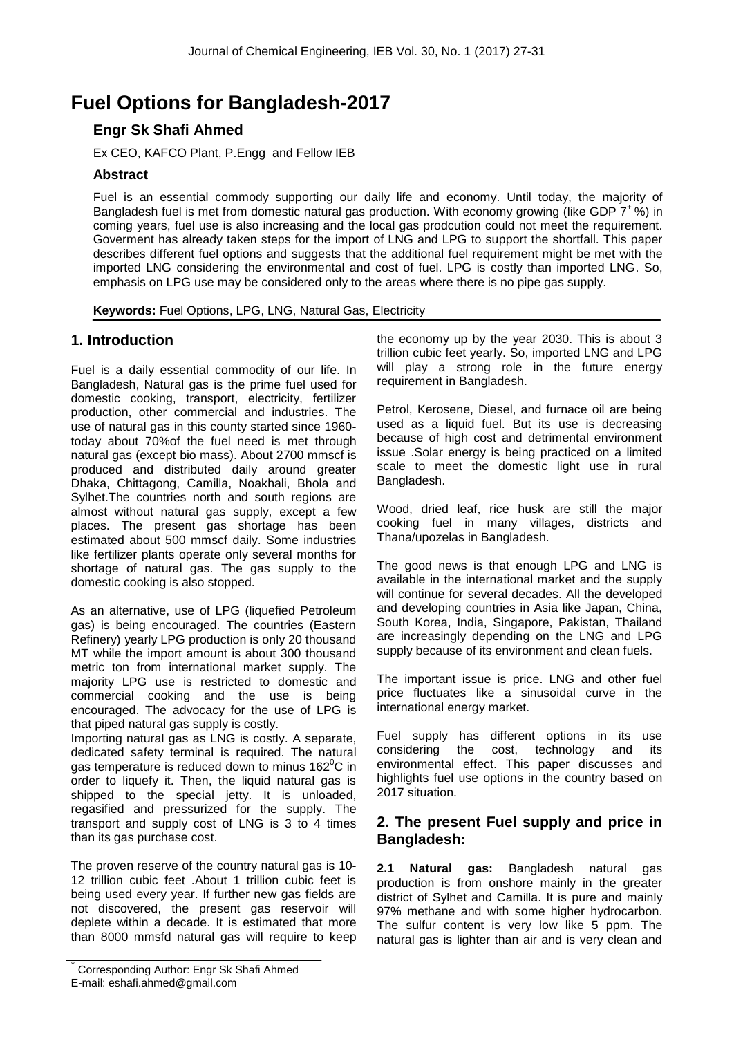# **Fuel Options for Bangladesh-2017**

# **Engr Sk Shafi Ahmed**

Ex CEO, KAFCO Plant, P.Engg and Fellow IEB

## **Abstract**

Fuel is an essential commody supporting our daily life and economy. Until today, the majority of Bangladesh fuel is met from domestic natural gas production. With economy growing (like GDP 7<sup>+ %</sup>) in coming years, fuel use is also increasing and the local gas prodcution could not meet the requirement. Goverment has already taken steps for the import of LNG and LPG to support the shortfall. This paper describes different fuel options and suggests that the additional fuel requirement might be met with the imported LNG considering the environmental and cost of fuel. LPG is costly than imported LNG. So, emphasis on LPG use may be considered only to the areas where there is no pipe gas supply.

**Keywords:** Fuel Options, LPG, LNG, Natural Gas, Electricity

## **1. Introduction**

Fuel is a daily essential commodity of our life. In Bangladesh, Natural gas is the prime fuel used for domestic cooking, transport, electricity, fertilizer production, other commercial and industries. The use of natural gas in this county started since 1960 today about 70%of the fuel need is met through natural gas (except bio mass). About 2700 mmscf is produced and distributed daily around greater Dhaka, Chittagong, Camilla, Noakhali, Bhola and Sylhet.The countries north and south regions are almost without natural gas supply, except a few places. The present gas shortage has been estimated about 500 mmscf daily. Some industries like fertilizer plants operate only several months for shortage of natural gas. The gas supply to the domestic cooking is also stopped.

As an alternative, use of LPG (liquefied Petroleum gas) is being encouraged. The countries (Eastern Refinery) yearly LPG production is only 20 thousand MT while the import amount is about 300 thousand metric ton from international market supply. The majority LPG use is restricted to domestic and commercial cooking and the use is being encouraged. The advocacy for the use of LPG is that piped natural gas supply is costly.

Importing natural gas as LNG is costly. A separate, dedicated safety terminal is required. The natural gas temperature is reduced down to minus  $162^{\circ}$ C in order to liquefy it. Then, the liquid natural gas is shipped to the special jetty. It is unloaded, regasified and pressurized for the supply. The transport and supply cost of LNG is 3 to 4 times than its gas purchase cost.

The proven reserve of the country natural gas is 10- 12 trillion cubic feet .About 1 trillion cubic feet is being used every year. If further new gas fields are not discovered, the present gas reservoir will deplete within a decade. It is estimated that more than 8000 mmsfd natural gas will require to keep

the economy up by the year 2030. This is about 3 trillion cubic feet yearly. So, imported LNG and LPG will play a strong role in the future energy requirement in Bangladesh.

Petrol, Kerosene, Diesel, and furnace oil are being used as a liquid fuel. But its use is decreasing because of high cost and detrimental environment issue .Solar energy is being practiced on a limited scale to meet the domestic light use in rural Bangladesh.

Wood, dried leaf, rice husk are still the major cooking fuel in many villages, districts and Thana/upozelas in Bangladesh.

The good news is that enough LPG and LNG is available in the international market and the supply will continue for several decades. All the developed and developing countries in Asia like Japan, China, South Korea, India, Singapore, Pakistan, Thailand are increasingly depending on the LNG and LPG supply because of its environment and clean fuels.

The important issue is price. LNG and other fuel price fluctuates like a sinusoidal curve in the international energy market.

Fuel supply has different options in its use considering the cost, technology and its environmental effect. This paper discusses and highlights fuel use options in the country based on 2017 situation.

## **2. The present Fuel supply and price in Bangladesh:**

**2.1 Natural gas:** Bangladesh natural gas production is from onshore mainly in the greater district of Sylhet and Camilla. It is pure and mainly 97% methane and with some higher hydrocarbon. The sulfur content is very low like 5 ppm. The natural gas is lighter than air and is very clean and

Corresponding Author: Engr Sk Shafi Ahmed E-mail: eshafi.ahmed@gmail.com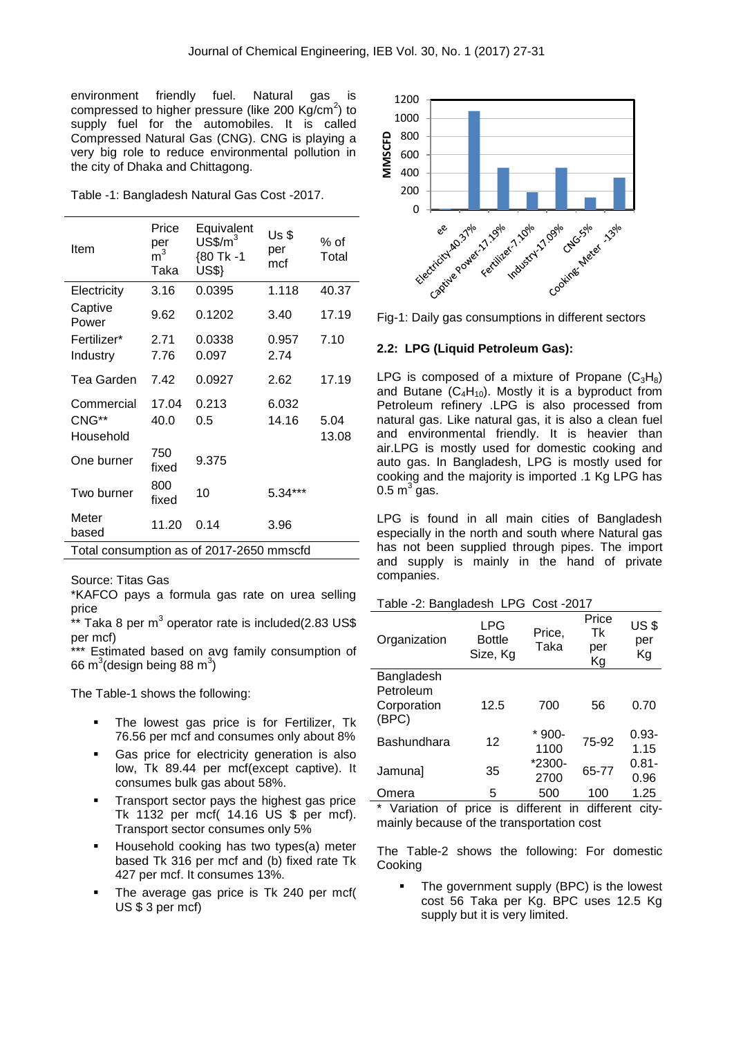environment friendly fuel. Natural gas is compressed to higher pressure (like 200  $\text{Kg/cm}^2$ ) to supply fuel for the automobiles. It is called Compressed Natural Gas (CNG). CNG is playing a very big role to reduce environmental pollution in the city of Dhaka and Chittagong.

Table -1: Bangladesh Natural Gas Cost -2017.

| Item                                     | Price<br>per<br>m <sup>3</sup><br>Taka | Equivalent<br>US\$/ $m^3$<br>{80 Tk -1<br>US\$} | Us<br>per<br>mcf | % of<br>Total |
|------------------------------------------|----------------------------------------|-------------------------------------------------|------------------|---------------|
| Electricity                              | 3.16                                   | 0.0395                                          | 1.118            | 40.37         |
| Captive<br>Power                         | 9.62                                   | 0.1202                                          | 3.40             | 17.19         |
| Fertilizer*                              | 2.71                                   | 0.0338                                          | 0.957            | 7.10          |
| Industry                                 | 7.76                                   | 0.097                                           | 2.74             |               |
| Tea Garden                               | 7.42                                   | 0.0927                                          | 2.62             | 17.19         |
| Commercial<br>CNG**<br>Household         | 17.04<br>40.0                          | 0.213<br>0.5                                    | 6.032<br>14.16   | 5.04<br>13.08 |
| One burner                               | 750<br>fixed                           | 9.375                                           |                  |               |
| Two burner                               | 800<br>fixed                           | 10                                              | 5.34***          |               |
| Meter<br>based                           | 11.20                                  | 0.14                                            | 3.96             |               |
| Total consumption as of 2017-2650 mmscfd |                                        |                                                 |                  |               |

Source: Titas Gas

\*KAFCO pays a formula gas rate on urea selling price

\*\* Taka 8 per m<sup>3</sup> operator rate is included(2.83 US\$ per mcf)

\*\*\* Estimated based on avg family consumption of 66 m $^3$ (design being 88 m $^3$ )

The Table-1 shows the following:

- The lowest gas price is for Fertilizer. Tk 76.56 per mcf and consumes only about 8%
- Gas price for electricity generation is also low, Tk 89.44 per mcf(except captive). It consumes bulk gas about 58%.
- Transport sector pays the highest gas price Tk 1132 per mcf( 14.16 US \$ per mcf). Transport sector consumes only 5%
- Household cooking has two types(a) meter based Tk 316 per mcf and (b) fixed rate Tk 427 per mcf. It consumes 13%.
- The average gas price is Tk 240 per mcf( US \$ 3 per mcf)



Fig-1: Daily gas consumptions in different sectors

#### **2.2: LPG (Liquid Petroleum Gas):**

LPG is composed of a mixture of Propane  $(C_3H_8)$ and Butane  $(C_4H_{10})$ . Mostly it is a byproduct from Petroleum refinery .LPG is also processed from natural gas. Like natural gas, it is also a clean fuel and environmental friendly. It is heavier than air.LPG is mostly used for domestic cooking and auto gas. In Bangladesh, LPG is mostly used for cooking and the majority is imported .1 Kg LPG has 0.5  $m^3$  gas.

LPG is found in all main cities of Bangladesh especially in the north and south where Natural gas has not been supplied through pipes. The import and supply is mainly in the hand of private companies.

#### Table -2: Bangladesh LPG Cost -2017

| Organization         | LPG<br><b>Bottle</b><br>Size, Kg | Price,<br>Taka | Price<br>Τk<br>per<br>Κg | <b>US\$</b><br>per<br>Kg |
|----------------------|----------------------------------|----------------|--------------------------|--------------------------|
| Bangladesh           |                                  |                |                          |                          |
| Petroleum            |                                  |                |                          |                          |
| Corporation<br>(BPC) | 12.5                             | 700            | 56                       | 0.70                     |
| Bashundhara          | 12                               | * 900-         | 75-92                    | $0.93 -$                 |
|                      |                                  | 1100           |                          | 1.15                     |
| Jamunal              | 35                               | *2300-         | 65-77                    | $0.81 -$                 |
|                      |                                  | 2700           |                          | 0.96                     |
| mera                 | 5                                | 500            | 100                      | 1.25                     |

Variation of price is different in different citymainly because of the transportation cost

The Table-2 shows the following: For domestic Cooking

 The government supply (BPC) is the lowest cost 56 Taka per Kg. BPC uses 12.5 Kg supply but it is very limited.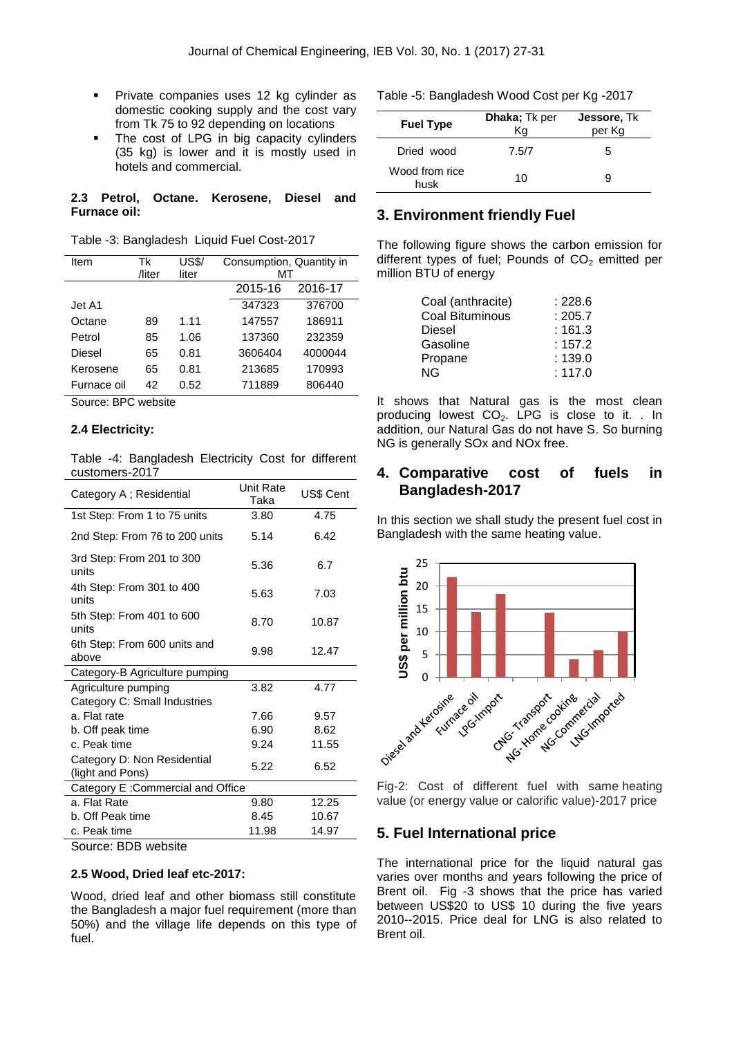- Private companies uses 12 kg cylinder as domestic cooking supply and the cost vary from Tk 75 to 92 depending on locations
- The cost of LPG in big capacity cylinders (35 kg) is lower and it is mostly used in hotels and commercial.

#### **2.3 Petrol, Octane. Kerosene, Diesel and Furnace oil:**

Table -3: Bangladesh Liquid Fuel Cost-2017

| Item        | Tk     | <b>US\$/</b> | Consumption, Quantity in |  |
|-------------|--------|--------------|--------------------------|--|
|             | /liter | liter        | мт                       |  |
|             |        |              | 2016-17<br>2015-16       |  |
| Jet A1      |        |              | 347323<br>376700         |  |
| Octane      | 89     | 1.11         | 186911<br>147557         |  |
| Petrol      | 85     | 1.06         | 137360<br>232359         |  |
| Diesel      | 65     | 0.81         | 4000044<br>3606404       |  |
| Kerosene    | 65     | 0.81         | 170993<br>213685         |  |
| Furnace oil | 42     | 0.52         | 711889<br>806440         |  |

Source: BPC website

#### **2.4 Electricity:**

Table -4: Bangladesh Electricity Cost for different customers-2017

| 4.75<br>1st Step: From 1 to 75 units<br>3.80<br>5.14<br>6.42<br>2nd Step: From 76 to 200 units<br>3rd Step: From 201 to 300<br>5.36<br>6.7<br>units<br>4th Step: From 301 to 400 | Category A; Residential | Unit Rate<br>Taka | US\$ Cent |
|----------------------------------------------------------------------------------------------------------------------------------------------------------------------------------|-------------------------|-------------------|-----------|
|                                                                                                                                                                                  |                         |                   |           |
|                                                                                                                                                                                  |                         |                   |           |
|                                                                                                                                                                                  |                         |                   |           |
|                                                                                                                                                                                  | units                   | 5.63              | 7.03      |
| 5th Step: From 401 to 600<br>8.70<br>10.87<br>units                                                                                                                              |                         |                   |           |
| 6th Step: From 600 units and<br>9.98<br>12.47<br>above                                                                                                                           |                         |                   |           |
| Category-B Agriculture pumping                                                                                                                                                   |                         |                   |           |
| 4.77<br>3.82<br>Agriculture pumping                                                                                                                                              |                         |                   |           |
| Category C: Small Industries                                                                                                                                                     |                         |                   |           |
| a. Flat rate<br>7.66<br>9.57                                                                                                                                                     |                         |                   |           |
| 6.90<br>8.62<br>b. Off peak time                                                                                                                                                 |                         |                   |           |
| c. Peak time<br>9.24<br>11.55                                                                                                                                                    |                         |                   |           |
| Category D: Non Residential<br>5.22<br>6.52<br>(light and Pons)                                                                                                                  |                         |                   |           |
| Category E: Commercial and Office                                                                                                                                                |                         |                   |           |
| a. Flat Rate<br>12.25<br>9.80                                                                                                                                                    |                         |                   |           |
| b. Off Peak time<br>8.45<br>10.67                                                                                                                                                |                         |                   |           |
| c. Peak time<br>11.98<br>14.97<br>$\cdot$                                                                                                                                        |                         |                   |           |

Source: BDB website

#### **2.5 Wood, Dried leaf etc-2017:**

Wood, dried leaf and other biomass still constitute the Bangladesh a major fuel requirement (more than 50%) and the village life depends on this type of fuel.

Table -5: Bangladesh Wood Cost per Kg -2017

| <b>Fuel Type</b>       | <b>Dhaka</b> ; Tk per<br>Κq | <b>Jessore, Tk</b><br>per Kg |
|------------------------|-----------------------------|------------------------------|
| Dried wood             | 7.5/7                       | ٠h                           |
| Wood from rice<br>husk | 10                          | g                            |

#### **3. Environment friendly Fuel**

The following figure shows the carbon emission for different types of fuel; Pounds of  $CO<sub>2</sub>$  emitted per million BTU of energy

| Coal (anthracite)      | :228.6  |
|------------------------|---------|
| <b>Coal Bituminous</b> | : 205.7 |
| <b>Diesel</b>          | :161.3  |
| Gasoline               | : 157.2 |
| Propane                | : 139.0 |
| NG                     | : 117.0 |

It shows that Natural gas is the most clean producing lowest  $CO<sub>2</sub>$ . LPG is close to it. . In addition, our Natural Gas do not have S. So burning NG is generally SOx and NOx free.

#### **4. Comparative cost of fuels in Bangladesh-2017**

In this section we shall study the present fuel cost in Bangladesh with the same heating value.



Fig-2: Cost of different fuel with same heating value (or energy value or calorific value)-2017 price

#### **5. Fuel International price**

The international price for the liquid natural gas varies over months and years following the price of Brent oil. Fig -3 shows that the price has varied between US\$20 to US\$ 10 during the five years 2010--2015. Price deal for LNG is also related to Brent oil.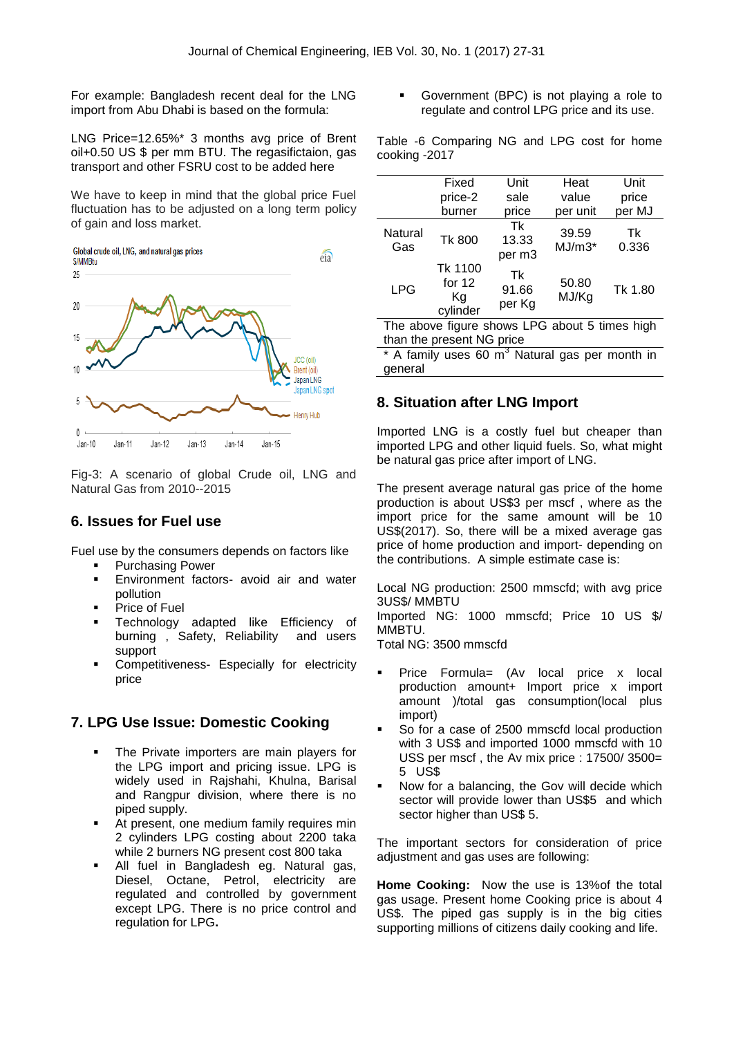For example: Bangladesh recent deal for the LNG import from Abu Dhabi is based on the formula:

LNG Price=12.65%\* 3 months avg price of Brent oil+0.50 US \$ per mm BTU. The regasifictaion, gas transport and other FSRU cost to be added here

We have to keep in mind that the global price Fuel fluctuation has to be adjusted on a long term policy of gain and loss market.



Fig-3: A scenario of global Crude oil, LNG and Natural Gas from 2010--2015

## **6. Issues for Fuel use**

Fuel use by the consumers depends on factors like

- Purchasing Power
- Environment factors- avoid air and water pollution
- **Price of Fuel**
- Technology adapted like Efficiency of burning , Safety, Reliability and users support
- Competitiveness- Especially for electricity price

## **7. LPG Use Issue: Domestic Cooking**

- **The Private importers are main players for** the LPG import and pricing issue. LPG is widely used in Rajshahi, Khulna, Barisal and Rangpur division, where there is no piped supply.
- At present, one medium family requires min 2 cylinders LPG costing about 2200 taka while 2 burners NG present cost 800 taka
- All fuel in Bangladesh eg. Natural gas, Diesel, Octane, Petrol, electricity are regulated and controlled by government except LPG. There is no price control and regulation for LPG**.**

 Government (BPC) is not playing a role to regulate and control LPG price and its use.

Table -6 Comparing NG and LPG cost for home cooking -2017

|                | Fixed<br>price-2<br>burner            | Unit<br>sale<br>price             | Heat<br>value<br>per unit | Unit<br>price<br>per MJ |
|----------------|---------------------------------------|-----------------------------------|---------------------------|-------------------------|
| Natural<br>Gas | Tk 800                                | Τk<br>13.33<br>per m <sub>3</sub> | 39.59<br>$MJ/m3*$         | Tk<br>0.336             |
| <b>LPG</b>     | Tk 1100<br>for $12$<br>Kg<br>cylinder | Τk<br>91.66<br>per Kg             | 50.80<br>MJ/Kg            | Tk 1.80                 |

The above figure shows LPG about 5 times high than the present NG price

A family uses 60  $m<sup>3</sup>$  Natural gas per month in general

## **8. Situation after LNG Import**

Imported LNG is a costly fuel but cheaper than imported LPG and other liquid fuels. So, what might be natural gas price after import of LNG.

The present average natural gas price of the home production is about US\$3 per mscf , where as the import price for the same amount will be 10 US\$(2017). So, there will be a mixed average gas price of home production and import- depending on the contributions. A simple estimate case is:

Local NG production: 2500 mmscfd; with avg price 3US\$/ MMBTU

Imported NG: 1000 mmscfd; Price 10 US \$/ **MMBTU.** 

Total NG: 3500 mmscfd

- **Price Formula= (Av local price x local** production amount+ Import price x import amount )/total gas consumption(local plus import)
- So for a case of 2500 mmscfd local production with 3 US\$ and imported 1000 mmscfd with 10 USS per mscf , the Av mix price : 17500/ 3500= 5 US\$
- Now for a balancing, the Gov will decide which sector will provide lower than US\$5 and which sector higher than US\$ 5.

The important sectors for consideration of price adjustment and gas uses are following:

**Home Cooking:** Now the use is 13%of the total gas usage. Present home Cooking price is about 4 US\$. The piped gas supply is in the big cities supporting millions of citizens daily cooking and life.